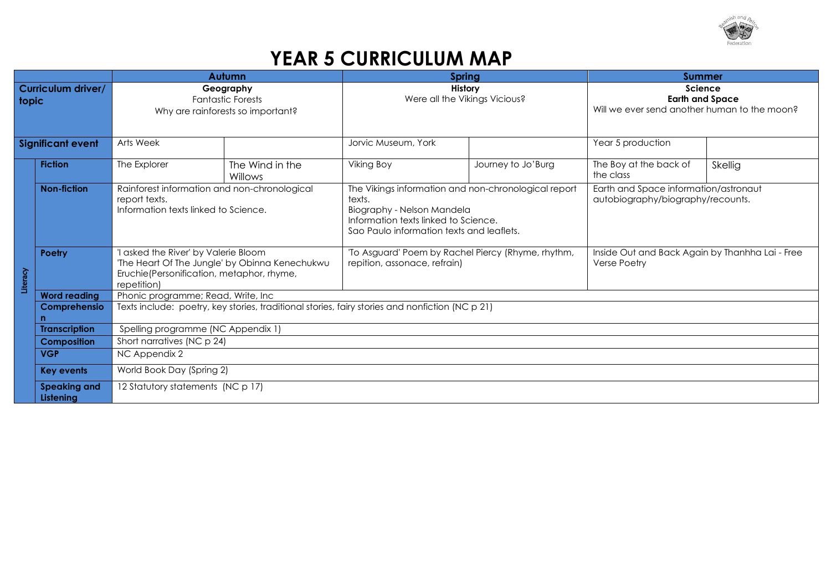

## **YEAR 5 CURRICULUM MAP**

|                             |                                  | <b>Autumn</b>                                                                                                                                   |                            | Spring                                                                                                                                                                            |                    | <b>Summer</b>                                                                     |         |
|-----------------------------|----------------------------------|-------------------------------------------------------------------------------------------------------------------------------------------------|----------------------------|-----------------------------------------------------------------------------------------------------------------------------------------------------------------------------------|--------------------|-----------------------------------------------------------------------------------|---------|
| Curriculum driver/<br>topic |                                  | Geography<br><b>Fantastic Forests</b><br>Why are rainforests so important?                                                                      |                            | <b>History</b><br>Were all the Vikings Vicious?                                                                                                                                   |                    | Science<br><b>Earth and Space</b><br>Will we ever send another human to the moon? |         |
| <b>Significant event</b>    |                                  | Arts Week                                                                                                                                       |                            | Jorvic Museum, York                                                                                                                                                               |                    | Year 5 production                                                                 |         |
|                             | <b>Fiction</b>                   | The Explorer                                                                                                                                    | The Wind in the<br>Willows | <b>Viking Boy</b>                                                                                                                                                                 | Journey to Jo'Burg | The Boy at the back of<br>the class                                               | Skellig |
| Literacy                    | <b>Non-fiction</b>               | Rainforest information and non-chronological<br>report texts.<br>Information texts linked to Science.                                           |                            | The Vikings information and non-chronological report<br>texts.<br>Biography - Nelson Mandela<br>Information texts linked to Science.<br>Sao Paulo information texts and leaflets. |                    | Earth and Space information/astronaut<br>autobiography/biography/recounts.        |         |
|                             | Poetry                           | asked the River' by Valerie Bloom<br>'The Heart Of The Jungle' by Obinna Kenechukwu<br>Eruchie(Personification, metaphor, rhyme,<br>repetition) |                            | 'To Asguard' Poem by Rachel Piercy (Rhyme, rhythm,<br>repition, assonace, refrain)                                                                                                |                    | Inside Out and Back Again by Thanhha Lai - Free<br><b>Verse Poetry</b>            |         |
|                             | <b>Word reading</b>              | Phonic programme; Read, Write, Inc                                                                                                              |                            |                                                                                                                                                                                   |                    |                                                                                   |         |
|                             | Comprehensio                     | Texts include: poetry, key stories, traditional stories, fairy stories and nonfiction (NC p 21)                                                 |                            |                                                                                                                                                                                   |                    |                                                                                   |         |
|                             | <b>Transcription</b>             | Spelling programme (NC Appendix 1)                                                                                                              |                            |                                                                                                                                                                                   |                    |                                                                                   |         |
|                             | <b>Composition</b>               | Short narratives (NC p 24)                                                                                                                      |                            |                                                                                                                                                                                   |                    |                                                                                   |         |
|                             | <b>VGP</b>                       | NC Appendix 2                                                                                                                                   |                            |                                                                                                                                                                                   |                    |                                                                                   |         |
|                             | <b>Key events</b>                | World Book Day (Spring 2)                                                                                                                       |                            |                                                                                                                                                                                   |                    |                                                                                   |         |
|                             | <b>Speaking and</b><br>Listening | 12 Statutory statements (NC p 17)                                                                                                               |                            |                                                                                                                                                                                   |                    |                                                                                   |         |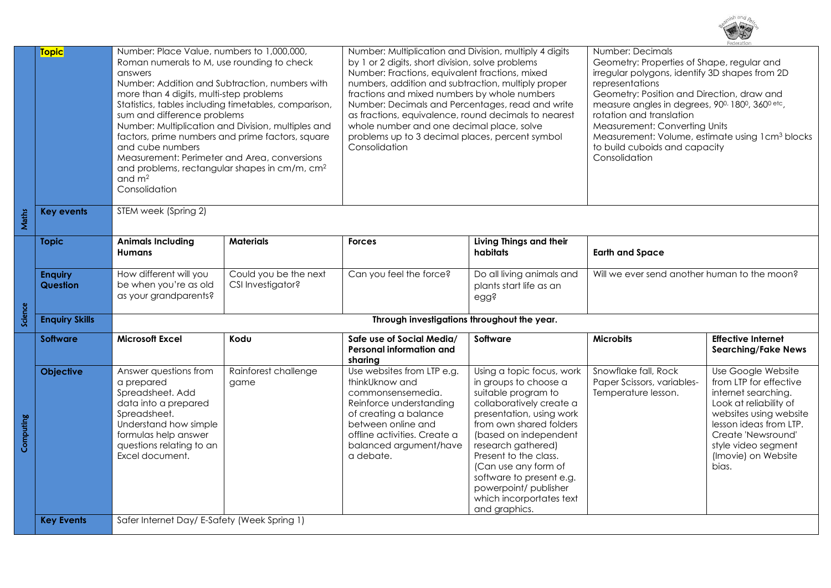

|           | <b>Topic</b>          | Number: Place Value, numbers to 1,000,000,                                                                                                                                                                 |                       | Number: Multiplication and Division, multiply 4 digits<br>by 1 or 2 digits, short division, solve problems                                                                                                                                                                                                                                          |                                                   | Number: Decimals<br>Geometry: Properties of Shape, regular and                        |                            |  |
|-----------|-----------------------|------------------------------------------------------------------------------------------------------------------------------------------------------------------------------------------------------------|-----------------------|-----------------------------------------------------------------------------------------------------------------------------------------------------------------------------------------------------------------------------------------------------------------------------------------------------------------------------------------------------|---------------------------------------------------|---------------------------------------------------------------------------------------|----------------------------|--|
|           |                       | Roman numerals to M, use rounding to check<br>answers<br>Number: Addition and Subtraction, numbers with<br>more than 4 digits, multi-step problems<br>Statistics, tables including timetables, comparison, |                       | Number: Fractions, equivalent fractions, mixed<br>numbers, addition and subtraction, multiply proper<br>fractions and mixed numbers by whole numbers                                                                                                                                                                                                |                                                   | irregular polygons, identify 3D shapes from 2D<br>representations                     |                            |  |
|           |                       |                                                                                                                                                                                                            |                       |                                                                                                                                                                                                                                                                                                                                                     |                                                   |                                                                                       |                            |  |
|           |                       |                                                                                                                                                                                                            |                       |                                                                                                                                                                                                                                                                                                                                                     |                                                   | Geometry: Position and Direction, draw and                                            |                            |  |
|           |                       |                                                                                                                                                                                                            |                       | Number: Decimals and Percentages, read and write                                                                                                                                                                                                                                                                                                    |                                                   | measure angles in degrees, 90 <sup>0,</sup> 180 <sup>0</sup> , 360 <sup>0 etc</sup> , |                            |  |
|           |                       | sum and difference problems                                                                                                                                                                                |                       | as fractions, equivalence, round decimals to nearest<br>rotation and translation<br>whole number and one decimal place, solve<br>Measurement: Converting Units<br>problems up to 3 decimal places, percent symbol<br>Measurement: Volume, estimate using 1cm <sup>3</sup> blocks<br>Consolidation<br>to build cuboids and capacity<br>Consolidation |                                                   |                                                                                       |                            |  |
|           |                       | Number: Multiplication and Division, multiples and                                                                                                                                                         |                       |                                                                                                                                                                                                                                                                                                                                                     |                                                   |                                                                                       |                            |  |
|           |                       | factors, prime numbers and prime factors, square                                                                                                                                                           |                       |                                                                                                                                                                                                                                                                                                                                                     |                                                   |                                                                                       |                            |  |
|           |                       | and cube numbers                                                                                                                                                                                           |                       |                                                                                                                                                                                                                                                                                                                                                     |                                                   |                                                                                       |                            |  |
|           |                       | Measurement: Perimeter and Area, conversions                                                                                                                                                               |                       |                                                                                                                                                                                                                                                                                                                                                     |                                                   |                                                                                       |                            |  |
|           |                       | and problems, rectangular shapes in cm/m, cm <sup>2</sup>                                                                                                                                                  |                       |                                                                                                                                                                                                                                                                                                                                                     |                                                   |                                                                                       |                            |  |
|           |                       | and $m2$                                                                                                                                                                                                   |                       |                                                                                                                                                                                                                                                                                                                                                     |                                                   |                                                                                       |                            |  |
|           |                       | Consolidation                                                                                                                                                                                              |                       |                                                                                                                                                                                                                                                                                                                                                     |                                                   |                                                                                       |                            |  |
|           |                       |                                                                                                                                                                                                            |                       |                                                                                                                                                                                                                                                                                                                                                     |                                                   |                                                                                       |                            |  |
| Maths     | <b>Key events</b>     | STEM week (Spring 2)                                                                                                                                                                                       |                       |                                                                                                                                                                                                                                                                                                                                                     |                                                   |                                                                                       |                            |  |
|           |                       |                                                                                                                                                                                                            |                       |                                                                                                                                                                                                                                                                                                                                                     |                                                   |                                                                                       |                            |  |
|           | <b>Topic</b>          | <b>Animals Including</b>                                                                                                                                                                                   | <b>Materials</b>      | <b>Forces</b>                                                                                                                                                                                                                                                                                                                                       | Living Things and their                           |                                                                                       |                            |  |
|           |                       | <b>Humans</b>                                                                                                                                                                                              |                       |                                                                                                                                                                                                                                                                                                                                                     | habitats                                          | <b>Earth and Space</b>                                                                |                            |  |
|           |                       |                                                                                                                                                                                                            |                       |                                                                                                                                                                                                                                                                                                                                                     |                                                   |                                                                                       |                            |  |
|           | <b>Enquiry</b>        | How different will you                                                                                                                                                                                     | Could you be the next | Can you feel the force?                                                                                                                                                                                                                                                                                                                             | Do all living animals and                         | Will we ever send another human to the moon?                                          |                            |  |
|           | <b>Question</b>       | be when you're as old                                                                                                                                                                                      | CSI Investigator?     |                                                                                                                                                                                                                                                                                                                                                     | plants start life as an                           |                                                                                       |                            |  |
|           |                       | as your grandparents?                                                                                                                                                                                      |                       |                                                                                                                                                                                                                                                                                                                                                     | egg?                                              |                                                                                       |                            |  |
|           |                       |                                                                                                                                                                                                            |                       |                                                                                                                                                                                                                                                                                                                                                     |                                                   |                                                                                       |                            |  |
| Science   | <b>Enquiry Skills</b> | Through investigations throughout the year.                                                                                                                                                                |                       |                                                                                                                                                                                                                                                                                                                                                     |                                                   |                                                                                       |                            |  |
|           | <b>Software</b>       | <b>Microsoft Excel</b>                                                                                                                                                                                     | Kodu                  | Safe use of Social Media/                                                                                                                                                                                                                                                                                                                           | Software                                          | <b>Microbits</b>                                                                      | <b>Effective Internet</b>  |  |
|           |                       |                                                                                                                                                                                                            |                       | Personal information and                                                                                                                                                                                                                                                                                                                            |                                                   |                                                                                       | <b>Searching/Fake News</b> |  |
|           |                       |                                                                                                                                                                                                            |                       | sharing                                                                                                                                                                                                                                                                                                                                             |                                                   |                                                                                       |                            |  |
|           | <b>Objective</b>      | Answer questions from                                                                                                                                                                                      | Rainforest challenge  | Use websites from LTP e.g.                                                                                                                                                                                                                                                                                                                          | Using a topic focus, work                         | Snowflake fall, Rock                                                                  | Use Google Website         |  |
|           |                       | a prepared                                                                                                                                                                                                 | game                  | thinkUknow and                                                                                                                                                                                                                                                                                                                                      | in groups to choose a                             | Paper Scissors, variables-                                                            | from LTP for effective     |  |
|           |                       | Spreadsheet. Add                                                                                                                                                                                           |                       | commonsensemedia.                                                                                                                                                                                                                                                                                                                                   | suitable program to                               | Temperature lesson.                                                                   | internet searching.        |  |
|           |                       | data into a prepared                                                                                                                                                                                       |                       | Reinforce understanding                                                                                                                                                                                                                                                                                                                             | collaboratively create a                          |                                                                                       | Look at reliability of     |  |
|           |                       | Spreadsheet.                                                                                                                                                                                               |                       | of creating a balance                                                                                                                                                                                                                                                                                                                               | presentation, using work                          |                                                                                       | websites using website     |  |
| Computing |                       | Understand how simple                                                                                                                                                                                      |                       | between online and                                                                                                                                                                                                                                                                                                                                  | from own shared folders                           |                                                                                       | lesson ideas from LTP.     |  |
|           |                       | formulas help answer                                                                                                                                                                                       |                       | offline activities. Create a                                                                                                                                                                                                                                                                                                                        | (based on independent                             |                                                                                       | Create 'Newsround'         |  |
|           |                       | questions relating to an<br>Excel document.                                                                                                                                                                |                       | balanced argument/have                                                                                                                                                                                                                                                                                                                              | research gathered)                                |                                                                                       | style video segment        |  |
|           |                       |                                                                                                                                                                                                            |                       | a debate.                                                                                                                                                                                                                                                                                                                                           | Present to the class.                             |                                                                                       | (Imovie) on Website        |  |
|           |                       |                                                                                                                                                                                                            |                       |                                                                                                                                                                                                                                                                                                                                                     | (Can use any form of                              |                                                                                       | bias.                      |  |
|           |                       |                                                                                                                                                                                                            |                       |                                                                                                                                                                                                                                                                                                                                                     | software to present e.g.<br>powerpoint/ publisher |                                                                                       |                            |  |
|           |                       |                                                                                                                                                                                                            |                       |                                                                                                                                                                                                                                                                                                                                                     | which incorportates text                          |                                                                                       |                            |  |
|           |                       |                                                                                                                                                                                                            |                       |                                                                                                                                                                                                                                                                                                                                                     | and graphics.                                     |                                                                                       |                            |  |
|           | <b>Key Events</b>     | Safer Internet Day/ E-Safety (Week Spring 1)                                                                                                                                                               |                       |                                                                                                                                                                                                                                                                                                                                                     |                                                   |                                                                                       |                            |  |
|           |                       |                                                                                                                                                                                                            |                       |                                                                                                                                                                                                                                                                                                                                                     |                                                   |                                                                                       |                            |  |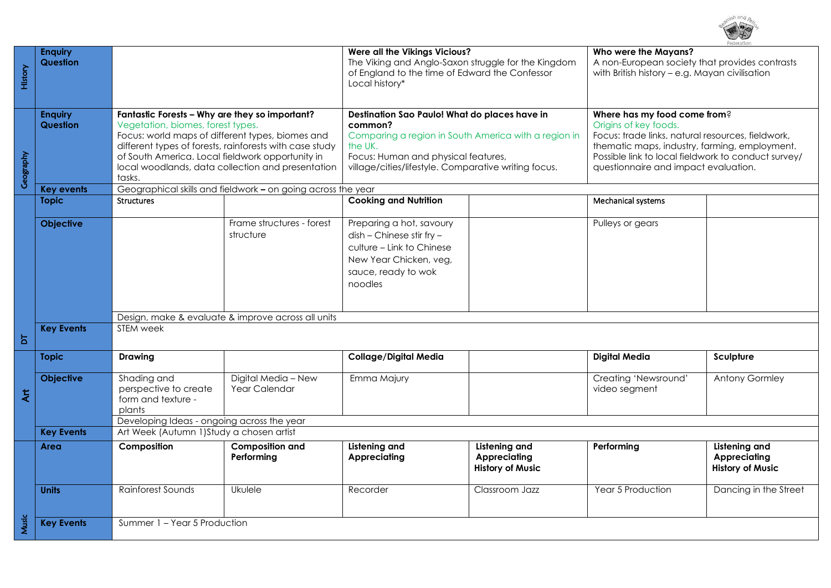| History        | <b>Enquiry</b><br>Question |                                                                                                                                                                                                                                                                                                                       |                                                    | Were all the Vikings Vicious?<br>The Viking and Anglo-Saxon struggle for the Kingdom<br>of England to the time of Edward the Confessor<br>Local history*                                                                   |                                                                 | regeratio<br>Who were the Mayans?<br>A non-European society that provides contrasts<br>with British history - e.g. Mayan civilisation                                                                                                                      |                                                                 |  |
|----------------|----------------------------|-----------------------------------------------------------------------------------------------------------------------------------------------------------------------------------------------------------------------------------------------------------------------------------------------------------------------|----------------------------------------------------|----------------------------------------------------------------------------------------------------------------------------------------------------------------------------------------------------------------------------|-----------------------------------------------------------------|------------------------------------------------------------------------------------------------------------------------------------------------------------------------------------------------------------------------------------------------------------|-----------------------------------------------------------------|--|
| Geography      | <b>Enquiry</b><br>Question | Fantastic Forests - Why are they so important?<br>Vegetation, biomes, forest types.<br>Focus: world maps of different types, biomes and<br>different types of forests, rainforests with case study<br>of South America. Local fieldwork opportunity in<br>local woodlands, data collection and presentation<br>tasks. |                                                    | Destination Sao Paulo! What do places have in<br>common?<br>Comparing a region in South America with a region in<br>the UK.<br>Focus: Human and physical features,<br>village/cities/lifestyle. Comparative writing focus. |                                                                 | Where has my food come from?<br>Origins of key foods.<br>Focus: trade links, natural resources, fieldwork,<br>thematic maps, industry, farming, employment.<br>Possible link to local fieldwork to conduct survey/<br>questionnaire and impact evaluation. |                                                                 |  |
|                | Key events                 | Geographical skills and fieldwork - on going across the year                                                                                                                                                                                                                                                          |                                                    |                                                                                                                                                                                                                            |                                                                 |                                                                                                                                                                                                                                                            |                                                                 |  |
|                | <b>Topic</b>               | <b>Structures</b>                                                                                                                                                                                                                                                                                                     |                                                    | <b>Cooking and Nutrition</b>                                                                                                                                                                                               |                                                                 | Mechanical systems                                                                                                                                                                                                                                         |                                                                 |  |
|                | <b>Objective</b>           |                                                                                                                                                                                                                                                                                                                       | Frame structures - forest<br>structure             | Preparing a hot, savoury<br>dish - Chinese stir fry -<br>culture - Link to Chinese<br>New Year Chicken, veg,<br>sauce, ready to wok<br>noodles                                                                             |                                                                 | Pulleys or gears                                                                                                                                                                                                                                           |                                                                 |  |
|                |                            |                                                                                                                                                                                                                                                                                                                       | Design, make & evaluate & improve across all units |                                                                                                                                                                                                                            |                                                                 |                                                                                                                                                                                                                                                            |                                                                 |  |
| $\overline{a}$ | <b>Key Events</b>          | STEM week                                                                                                                                                                                                                                                                                                             |                                                    |                                                                                                                                                                                                                            |                                                                 |                                                                                                                                                                                                                                                            |                                                                 |  |
|                | <b>Topic</b>               | <b>Drawing</b>                                                                                                                                                                                                                                                                                                        |                                                    | Collage/Digital Media                                                                                                                                                                                                      |                                                                 | <b>Digital Media</b>                                                                                                                                                                                                                                       | Sculpture                                                       |  |
| $\overline{t}$ | <b>Objective</b>           | Shading and<br>perspective to create<br>form and texture -<br>plants<br>Developing Ideas - ongoing across the year                                                                                                                                                                                                    | Digital Media - New<br>Year Calendar               | Emma Majury                                                                                                                                                                                                                |                                                                 | Creating 'Newsround'<br>video segment                                                                                                                                                                                                                      | Antony Gormley                                                  |  |
|                | <b>Key Events</b>          | Art Week (Autumn 1) Study a chosen artist                                                                                                                                                                                                                                                                             |                                                    |                                                                                                                                                                                                                            |                                                                 |                                                                                                                                                                                                                                                            |                                                                 |  |
|                | Area                       | Composition                                                                                                                                                                                                                                                                                                           | <b>Composition and</b><br>Performing               | <b>Listening and</b><br><b>Appreciating</b>                                                                                                                                                                                | Listening and<br><b>Appreciating</b><br><b>History of Music</b> | Performing                                                                                                                                                                                                                                                 | Listening and<br><b>Appreciating</b><br><b>History of Music</b> |  |
|                | <b>Units</b>               | Rainforest Sounds                                                                                                                                                                                                                                                                                                     | Ukulele                                            | Recorder                                                                                                                                                                                                                   | Classroom Jazz                                                  | Year 5 Production                                                                                                                                                                                                                                          | Dancing in the Street                                           |  |
| Music          | <b>Key Events</b>          | Summer 1 - Year 5 Production                                                                                                                                                                                                                                                                                          |                                                    |                                                                                                                                                                                                                            |                                                                 |                                                                                                                                                                                                                                                            |                                                                 |  |

ch and  $\overline{\wedge}$   $\overline{\wedge}$